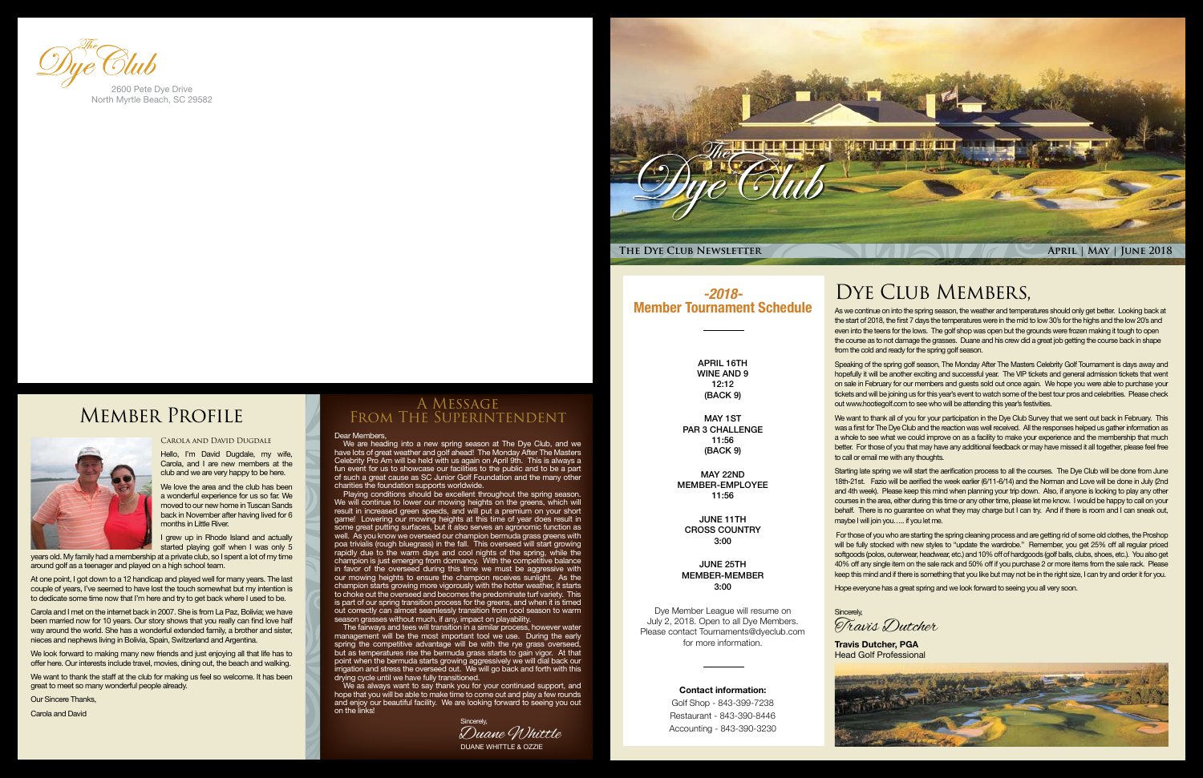

### DYE CLUB MEMBERS,

#### Dear Members,

Playing conditions should be excellent throughout the spring season. We will continue to lower our mowing heights on the greens, which will result in increased green speeds, and will put a premium on your short game! Lowering our mowing heights at this time of year does result in some great putting surfaces, but it also serves an agronomic function as well. As you know we overseed our champion bermuda grass greens with poa trivialis (rough bluegrass) in the fall. This overseed will start growing rapidly due to the warm days and cool nights of the spring, while the champion is just emerging from dormancy. With the competitive balance in favor of the overseed during this time we must be aggressive with our mowing heights to ensure the champion receives sunlight. As the champion starts growing more vigorously with the hotter weather, it starts to choke out the overseed and becomes the predominate turf variety. This is part of our spring transition process for the greens, and when it is timed out correctly can almost seamlessly transition from cool season to warm season grasses without much, if any, impact on playability.

We are heading into a new spring season at The Dye Club, and we have lots of great weather and golf ahead! The Monday After The Masters Celebrity Pro Am will be held with us again on April 9th. This is always a fun event for us to showcase our facilities to the public and to be a part of such a great cause as SC Junior Golf Foundation and the many other charities the foundation supports worldwide.

The fairways and tees will transition in a similar process, however water management will be the most important tool we use. During the early spring the competitive advantage will be with the rye grass overseed, but as temperatures rise the bermuda grass starts to gain vigor. At that point when the bermuda starts growing aggressively we will dial back our irrigation and stress the overseed out. We will go back and forth with this drying cycle until we have fully transitioned.

We as always want to say thank you for your continued support, and hope that you will be able to make time to come out and play a few rounds and enjoy our beautiful facility. We are looking forward to seeing you out on the links!

### A Message From The Superintendent

As we continue on into the spring season, the weather and temperatures should only get better. Looking back at the start of 2018, the first 7 days the temperatures were in the mid to low 30's for the highs and the low 20's and even into the teens for the lows. The golf shop was open but the grounds were frozen making it tough to open the course as to not damage the grasses. Duane and his crew did a great job getting the course back in shape from the cold and ready for the spring golf season.

I grew up in Rhode Island and actually started playing golf when I was only 5 Speaking of the spring golf season, The Monday After The Masters Celebrity Golf Tournament is days away and hopefully it will be another exciting and successful year. The VIP tickets and general admission tickets that went on sale in February for our members and guests sold out once again. We hope you were able to purchase your tickets and will be joining us for this year's event to watch some of the best tour pros and celebrities. Please check out www.hootiegolf.com to see who will be attending this year's festivities.

We want to thank all of you for your participation in the Dye Club Survey that we sent out back in February. This was a first for The Dye Club and the reaction was well received. All the responses helped us gather information as a whole to see what we could improve on as a facility to make your experience and the membership that much better. For those of you that may have any additional feedback or may have missed it all together, please feel free to call or email me with any thoughts.

Starting late spring we will start the aerification process to all the courses. The Dye Club will be done from June 18th-21st. Fazio will be aerified the week earlier (6/11-6/14) and the Norman and Love will be done in July (2nd and 4th week). Please keep this mind when planning your trip down. Also, if anyone is looking to play any other courses in the area, either during this time or any other time, please let me know. I would be happy to call on your behalf. There is no guarantee on what they may charge but I can try. And if there is room and I can sneak out, maybe I will join you….. if you let me.

 For those of you who are starting the spring cleaning process and are getting rid of some old clothes, the Proshop will be fully stocked with new styles to "update the wardrobe." Remember, you get 25% off all regular priced softgoods (polos, outerwear, headwear, etc.) and 10% off of hardgoods (golf balls, clubs, shoes, etc.). You also get 40% off any single item on the sale rack and 50% off if you purchase 2 or more items from the sale rack. Please keep this mind and if there is something that you like but may not be in the right size, I can try and order it for you.

Hope everyone has a great spring and we look forward to seeing you all very soon.

Sincerely,

#### Carola and David Dugdale

Hello, I'm David Dugdale, my wife, Carola, and I are new members at the club and we are very happy to be here.

We love the area and the club has been a wonderful experience for us so far. We moved to our new home in Tuscan Sands back in November after having lived for 6 months in Little River.

years old. My family had a membership at a private club, so I spent a lot of my time around golf as a teenager and played on a high school team.

At one point, I got down to a 12 handicap and played well for many years. The last couple of years, I've seemed to have lost the touch somewhat but my intention is to dedicate some time now that I'm here and try to get back where I used to be.

Carola and I met on the internet back in 2007. She is from La Paz, Bolivia; we have been married now for 10 years. Our story shows that you really can find love half way around the world. She has a wonderful extended family, a brother and sister, nieces and nephews living in Bolivia, Spain, Switzerland and Argentina.

We look forward to making many new friends and just enjoying all that life has to offer here. Our interests include travel, movies, dining out, the beach and walking.

We want to thank the staff at the club for making us feel so welcome. It has been great to meet so many wonderful people already.

Our Sincere Thanks,

Carola and David



North Myrtle Beach, SC 29582

## Member Profile





**Travis Dutcher, PGA** Head Golf Professional



Travis Dutcher

### *-2018-* Member Tournament Schedule

APRIL 16TH WINE AND 9 12:12 (BACK 9)

MAY 1ST PAR 3 CHALLENGE 11:56 (BACK 9)

MAY 22ND MEMBER-EMPLOYEE 11:56

JUNE 11TH CROSS COUNTRY 3:00

JUNE 25TH MEMBER-MEMBER 3:00

Dye Member League will resume on July 2, 2018. Open to all Dye Members. Please contact Tournaments@dyeclub.com for more information.

#### Contact information:

Golf Shop - 843-399-7238 Restaurant - 843-390-8446 Accounting - 843-390-3230